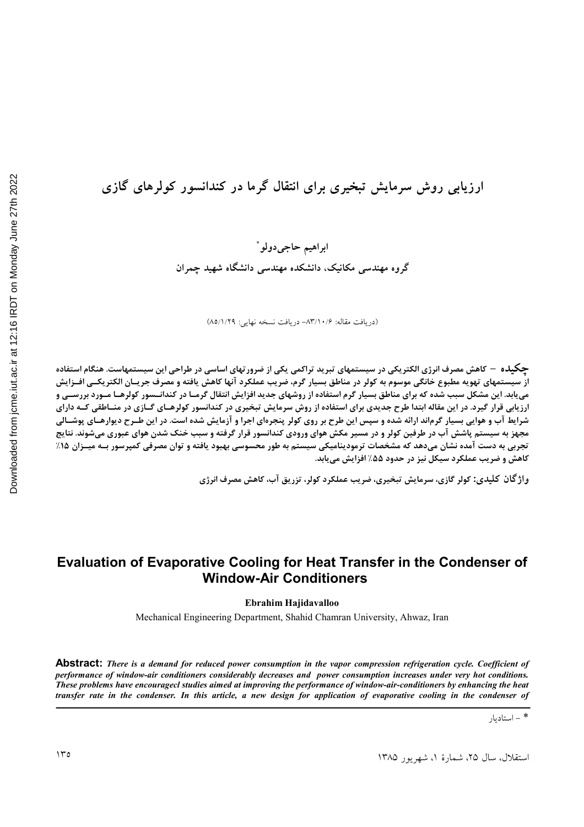### ارزیابی روش سرمایش تبخیری برای انتقال گرما در کندانسور کولرهای گازی

ابراهيم حاجىدولو ً گروه مهندسی مکانیک، دانشکده مهندسی دانشگاه شهید چمران

(دريافت مقاله: ١٠/۶/١٠/۶- دريافت نسخه نهايي: ٨٥/١/٢٩)

**چگیل**ه – کاهش مصرف انرژی الکتریکی در سیستمهای تبرید تراکمی یکی از ضرورتهای اساسی در طراحی این سیستمهاست. هنگام استفاده از سیستمهای تهویه مطبوع خانگی موسوم به کولر در مناطق بسیار گرم، ضریب عملکرد آنها کاهش یافته و مصرف جریـان الکتریکــی افــزایش هی یابد. این مشکل سبب شده که برای مناطق بسیار گرم استفاده از روشهای جدید افزایش انتقال گرمـا در کندانــسور کولرهـا مـورد بررســی و ارزیابی قرار گیرد. در این مقاله ابتدا طرح جدیدی برای استفاده از روش سرمایش تبخیری در کندانسور کولرهـای گـازی در منــاطقی کــه دارای شرایط آب و هوایی بسیار گرماند ارائه شده و سپس این طرح بر روی کولر پنجرهای اجرا و آزمایش شده است. در این طـرح دیوارهـای پوشـالی مجهز به سیستم پاشش آب در طرفین کولر و در مسیر مکش هوای ورودی کندانسور قرار گرفته و سبب خنک شدن هوای عبوری میشوند. نتایج تجربی به دست آمده نشان میدهد که مشخصات ترمودینامیکی سیستم به طور محسوسی بهبود یافته و توان مصرفی کمپرسور بــه میــزان ۱۵٪ کاهش و ضریب عملکرد سیکل نیز در حدود ۵۵٪ افزایش می یابد.

**واژ گان کلیدی: کولر گازی، سرمایش تبخیری، ضریب عملکرد کولر، تزریق آب، کاهش مصرف انرژی** 

### **Evaluation of Evaporative Cooling for Heat Transfer in the Condenser of Window-Air Conditioners**

**Ebrahim Hajidavalloo**

Mechanical Engineering Department, Shahid Chamran University, Ahwaz, Iran

**Abstract:** *There is a demand for reduced power consumption in the vapor compression refrigeration cycle. Coefficient of performance of window-air conditioners considerably decreases and power consumption increases under very hot conditions. These problems have encouragecl studies aimed at improving the performance of window-air-conditioners by enhancing the heat transfer rate in the condenser. In this article, a new design for application of evaporative cooling in the condenser of* 

\* - استاديار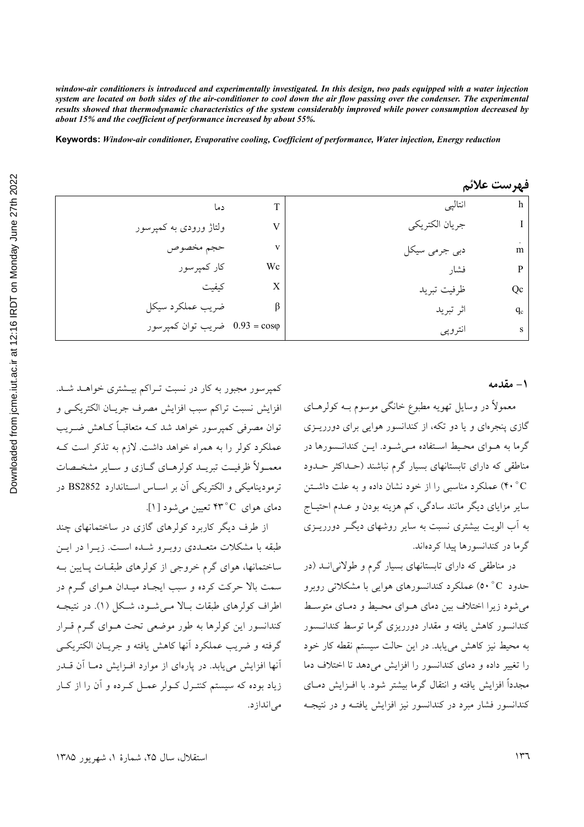window-air conditioners is introduced and experimentally investigated. In this design, two pads equipped with a water injection system are located on both sides of the air-conditioner to cool down the air flow passing over the condenser. The experimental results showed that thermodynamic characteristics of the system considerably improved while power consumption decreased by about 15% and the coefficient of performance increased by about 55%.

Keywords: Window-air conditioner, Evaporative cooling, Coefficient of performance, Water injection, Energy reduction

|                               |    |                | فهرست علائم |
|-------------------------------|----|----------------|-------------|
| دما                           | т  | انتاليي        | h           |
| ولتاژ ورودی به کمپرسور        |    | جريان الكتريكي |             |
| حجم مخصوص                     | v  | دبي جرمي سيكل  | m           |
| کار کمپرسور                   | Wc | فشار           | P           |
| كيفيت                         | X  | ظرفيت تبريد    | Qc          |
| ضريب عملكرد سيكل              |    | اثر تبريد      | $q_c$       |
| 0.93 = cosφ ضريب توان كمپرسور |    | انتروپي        | s           |

#### ۱ - مقدمه

معمولاً در وسایل تھویه مطبوع خانگی موسوم بــه کولرهــای گازی پنجرهای و یا دو تکه، از کندانسور هوایی برای دورریــزی گرما به هـواي محـيط اسـتفاده مـي شـود. ايـن كندانـسورها در مناطقی که دارای تابستانهای بسیار گرم نباشند (حـداکثر حـدود ۴۰°C) عملکرد مناسبی را از خود نشان داده و به علت داشتن سایر مزایای دیگر مانند سادگی، کم هزینه بودن و عــدم احتیــاج به آب الویت بیشتری نسبت به سایر روشهای دیگـر دورریــزی گر ما در کندانسورها پیدا کردهاند.

در مناطقی که دارای تابستانهای بسیار گرم و طولانیانـد (در حدود C° (0۰ عملکرد کندانسورهای هوایی با مشکلاتی روبرو می شود زیرا اختلاف بین دمای هـوای محـیط و دمـای متوسـط کندانسور کاهش یافته و مقدار دورریزی گرما توسط کندانـسور به محیط نیز کاهش میbبلد. در این حالت سیستم نقطه کار خود را تغییر داده و دمای کندانسور را افزایش می دهد تا اختلاف دما مجدداً افزایش یافته و انتقال گرما بیشتر شود. با افـزایش دمــای کندانسور فشار مبرد در کندانسور نیز افزایش یافتـه و در نتیجـه

کمپرسور مجبور به کار در نسبت تـراکم بیـشتری خواهــد شــد. افزايش نسبت تراكم سبب افزايش مصرف جريـان الكتريكـي و توان مصرفی کمیرسور خواهد شد کـه متعاقبـاً کــاهش ضــریب عملکرد کولر را به همراه خواهد داشت. لازم به تذکر است کـه معمـولاً ظرفیـت تبریــد کولرهــای گــازی و ســایر مشخــصات ترمودینامیکی و الکتریکی آن بر اسـاس اسـتاندارد BS2852 در دمای هوای ۴۳°C تعیین می شود [۱].

از طرف دیگر کاربرد کولرهای گازی در ساختمانهای چند طبقه با مشکلات متعـددی روبـرو شـده اسـت. زیـرا در ایــن ساختمانها، هوای گرم خروجی از کولرهای طبقـات پـایین بـه سمت بالا حرکت کرده و سبب ایجـاد میـدان هـوای گـرم در اطراف کولرهای طبقات بـالا مـی شـود، شـکل (۱). در نتیجـه کندانسور این کولرها به طور موضعی تحت هـوای گـرم قـرار گرفته و ضريب عملكرد آنها كاهش يافته و جريــان الكتريكــي آنها افزایش می پابد. در پارهای از موارد افـزایش دمـا آن قــدر زیاد بوده که سیستم کنتـرل کـولر عمـل کـرده و آن را از کـار مے انداز د.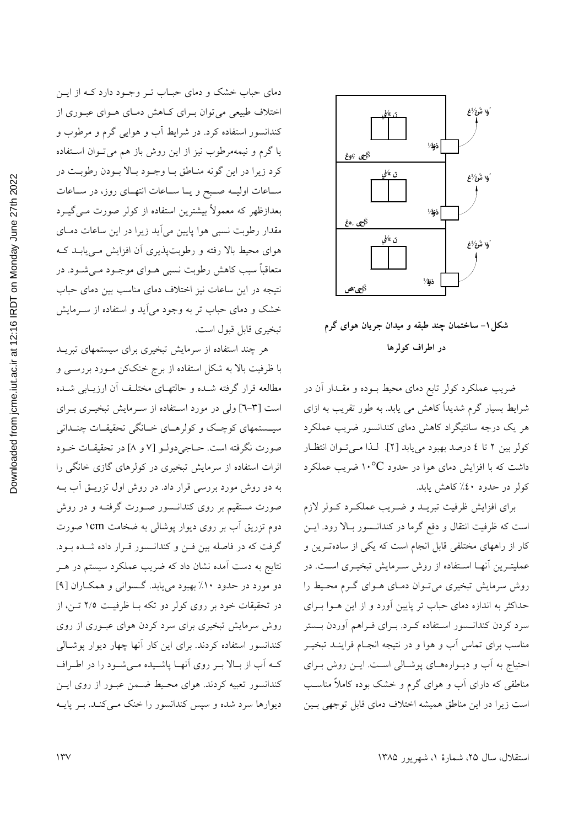

شکل ۱– ساختمان چند طبقه و میدان جریان هوای گرم در اطراف کولرها

ضریب عملکرد کولر تابع دمای محیط بـوده و مقــدار آن در شرایط بسیار گرم شدیداً کاهش می یابد. به طور تقریب به ازای هر یک درجه سانتیگراد کاهش دمای کندانسور ضریب عملکرد كولر بين ٢ تا ٤ درصد بهبود مي يابد [٢]. لـذا مـي تـوان انتظـار داشت که با افزایش دمای هوا در حدود <sup>۱۰</sup>°C ضریب عملکرد کولر در حدود ٤٠٪ کاهش يابد.

برای افزایش ظرفیت تبریـد و ضـریب عملکـرد کـولر لازم است که ظرفیت انتقال و دفع گرما در کندانـسور بـالا رود. ایــن کار از راههای مختلفی قابل انجام است که یکی از سادهترین و عملیتـرین اَنهـا اسـتفاده از روش سـرمایش تبخیـری اسـت. در روش سرمایش تبخیری می تـوان دمـای هـوای گـرم محـیط را حداکثر به اندازه دمای حباب تر پایین آورد و از این هـوا بـرای سرد کردن کندانـسور اسـتفاده کـرد. بـرای فـراهم آوردن بـستر مناسب برای تماس آب و هوا و در نتیجه انجـام فراینــد تبخیــر احتیاج به آب و دیوارههای پوشالی است. ایـن روش بـرای مناطقی که دارای آب و هوای گرم و خشک بوده کاملاً مناسب است زیرا در این مناطق همیشه اختلاف دمای قابل توجهی بـین

دمای حباب خشک و دمای حبـاب تـر وجـود دارد کـه از ايـن اختلاف طبیعی می توان بـرای کـاهش دمـای هـوای عبـوری از کندانسور استفاده کرد. در شرایط آب و هوایی گرم و مرطوب و یا گرم و نیمهمرطوب نیز از این روش باز هم میتوان استفاده كرد زيرا در اين گونه منـاطق بـا وجـود بـالا بـودن رطوبـت در سـاعات اوليــه صــبح و يــا ســاعات انتهــاى روز، در ســاعات بعدازظهر که معمولاً بیشترین استفاده از کولر صورت مـیگیــرد مقدار رطوبت نسبی هوا پایین می آید زیرا در این ساعات دمـای هوای محیط بالا رفته و رطوبتپذیری آن افزایش مـییابـد کـه متعاقباً سبب کاهش رطوبت نسبی هــوای موجــود مــیشــود. در نتیجه در این ساعات نیز اختلاف دمای مناسب بین دمای حباب خشک و دمای حباب تر به وجود می آید و استفاده از سـرمایش تبخيري قابل قبول است.

هر چند استفاده از سرمایش تبخیری برای سیستمهای تبریـد با ظرفیت بالا به شکل استفاده از برج خنککن مـورد بررسـی و مطالعه قرار گرفته شـده و حالتهـای مختلـف آن ارزیــابی شــده است [۳-٦] ولي در مورد استفاده از سـرمايش تبخيـري بـراي سیستمهای کوچک و کولرهـای خـانگی تحقیقـات چنــدانی صورت نگرفته است. حــاجي دولــو [۷ و ۸] در تحقيقــات خــود اثرات استفاده از سرمایش تبخیری در کولرهای گازی خانگی را به دو روش مورد بررسی قرار داد. در روش اول تزریـق آب بـه صورت مستقیم بر روی کندانــسور صــورت گرفتــه و در روش دوم تزریق آب بر روی دیوار پوشال<sub>ی</sub> به ضخامت ۱cm صورت گرفت که در فاصله بین فـن و کندانـسور قـرار داده شـده بـود. نتایج به دست آمده نشان داد که ضریب عملکرد سیستم در هــر دو مورد در حدود ۱۰٪ بهبود می یابد. گسوانی و همکاران [۹] در تحقیقات خود بر روی کولر دو تکه بـا ظرفیـت ٢/٥ تـن، از روش سرمایش تبخیری برای سرد کردن هوای عبـوری از روی کندانسور استفاده کردند. برای این کار آنها چهار دیوار پوشالی کـه اَب از بـالا بـر روى اَنهـا پاشـيده مـىشـود را در اطـراف كندانسور تعبيه كردند. هواي محيط ضمن عبـور از روى ايـن دیوارها سرد شده و سپس کندانسور را خنک مـیکنـد. بـر پایـه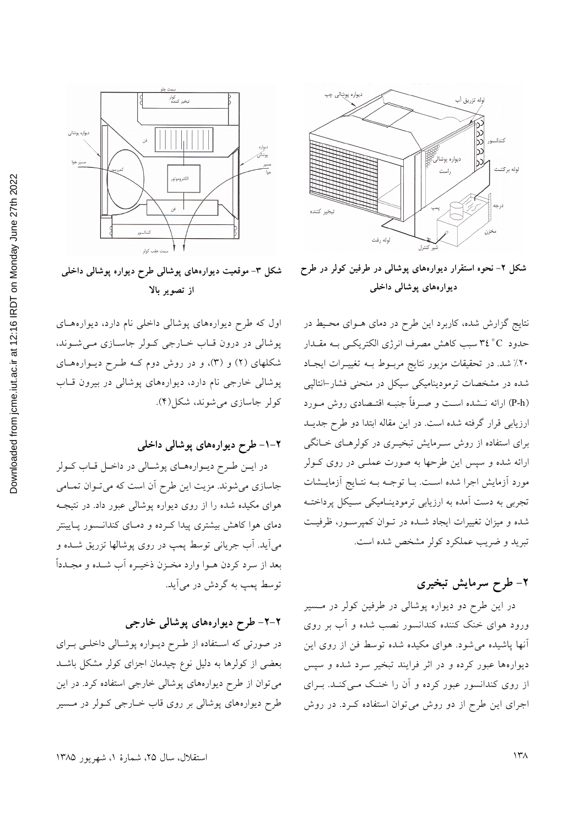

شکل ۲- نحوه استقرار دیوارههای پوشالی در طرفین کولر در طرح ديوارەھاي پوشالى داخلى

نتایج گزارش شده، کاربرد این طرح در دمای هـوای محـیط در حدود ٣٤°C سبب كاهش مصرف انرژى الكتريكـي بـه مقــدار ۲۰٪ شد. در تحقیقات مزبور نتایج مربوط بـه تغییـرات ایجـاد شده در مشخصات ترمودینامیکی سیکل در منحنی فشار-انتالپی (P-h) ارائه نــشده اســت و صــرفاً جنبــه اقتــصادی روش مــورد ارزیابی قرار گرفته شده است. در این مقاله ابتدا دو طرح جدیـد برای استفاده از روش سـرمایش تبخیـری در کولرهـای خـانگی ارائه شده و سپس این طرحها به صورت عملـی در روی کــولر مورد آزمایش اجرا شده است. بـا توجـه بـه نتـایج آزمایـشات تجربی به دست آمده به ارزیابی ترمودینـامیکی سـیکل پرداختـه شده و میزان تغییرات ایجاد شـده در تـوان کمپرسـور، ظرفیـت تبرید و ضریب عملکرد کولر مشخص شده است.

### ۲- طرح سرمایش تبخیری

در این طرح دو دیواره پوشالی در طرفین کولر در مسیر ورود هوای خنک کننده کندانسور نصب شده و آب بر روی آنها پاشیده می شود. هوای مکیده شده توسط فن از روی این دیوارهها عبور کرده و در اثر فرایند تبخیر سرد شده و سپس از روی کندانسور عبور کرده و آن را خنک مـیکنـد. بـرای اجرای این طرح از دو روش می توان استفاده کـرد. در روش



شکل ۳- موقعیت دیوارههای پوشالی طرح دیواره پوشالی داخلی از تصوير بالا

اول که طرح دیوارههای پوشالی داخلی نام دارد، دیوارههای پوشالی در درون قاب خارجی کولر جاسازی می شوند، شکلهای (۲) و (۳)، و در روش دوم کـه طـرح ديـوارههـای پوشالي خارجي نام دارد، ديوارههاي پوشالي در بيرون قــاب کولر جاسازي مي شوند، شکل(۴).

### ۲–۱– طرح دیوارههای پوشالی داخلی

در ايـن طـرح ديـوارههـاي پوشـالي در داخـل قـاب كـولر جاسازی میشوند. مزیت این طرح آن است که میتوان تمامی هوای مکیده شده را از روی دیواره پوشالی عبور داد. در نتیجـه دمای هوا کاهش بیشتری پیدا کـرده و دمـای کندانــسور پــایینتر مي آيد. آب جرياني توسط پمپ در روي پوشالها تزريق شــده و بعد از سرد كردن هـوا وارد مخـزن ذخيـره أب شـده و مجـدداً توسط پمپ به گردش در میآید.

### ۲-۲- طرح دیوارههای پوشالی خارجی

در صورتی که استفاده از طرح دیـواره پوشـالی داخلـی بـرای بعضی از کولرها به دلیل نوع چیدمان اجزای کولر مشکل باشـد میتوان از طرح دیوارههای پوشالی خارجی استفاده کرد. در این طرح دیوارههای پوشالی بر روی قاب خـارجی کـولر در مـسیر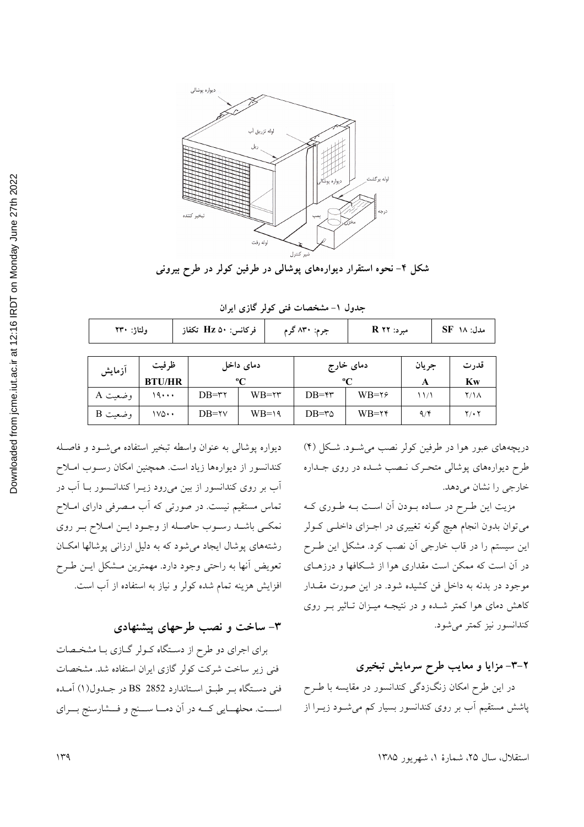

شکل ۴– نحوه استقرار دیوارههای پوشالی در طرفین کولر در طرح بیرونی

| ولتاژ: ۲۳۰ |       | فركانس: Hz ۵۰ تكفاز |           | جرم: ۸۳۰ گرم | مبرد: R ۲۲ |       | مدل: ۱۸ SF |
|------------|-------|---------------------|-----------|--------------|------------|-------|------------|
|            |       |                     |           |              |            |       |            |
|            | ظ فست |                     | دمای داخا | دمای خارج    |            | ح يان | قد، ت      |

جدول ١- مشخصات فني كولر گازي ايران

| آزمايش  | ظرفيت<br><b>BTU/HR</b> | دمای داخل<br>$\mathbf{C}$ |                  | دمای خارج<br>$\mathbf{C}$ |                  | جريان | قدرت<br>Kw  |
|---------|------------------------|---------------------------|------------------|---------------------------|------------------|-------|-------------|
| وضعيت A | ۱۹۰۰۰                  | $DB = r \gamma$           | $WB = \tau \tau$ | $DB = \gamma \gamma$      | $WB = \gamma$    | ۱۱/۱  | ۲/۱۸        |
| وضعيت B | ۱۷۵۰۰                  | $DB = \gamma \gamma$      | $WB=19$          | $DB = r\Delta$            | $WB = \tau \tau$ | 9/5   | $Y \cdot Y$ |

دریچههای عبور هوا در طرفین کولر نصب می شـود. شـکل (۴) طرح دیوارههای پوشالی متحـرک نـصب شـده در روی جـداره خارجي را نشان مي دهد.

مزیت این طرح در ساده بودن آن است بـه طـوري كـه میتوان بدون انجام هیچ گونه تغییری در اجـزای داخلـی کـولر این سیستم را در قاب خارجی اَن نصب کرد. مشکل این طـرح در آن است که ممکن است مقداری هوا از شکافها و درزهـای موجود در بدنه به داخل فن کشیده شود. در این صورت مقــدار کاهش دمای هوا کمتر شـده و در نتیجـه میـزان تـاثیر بـر روی كندانسور نيز كمتر مي شود.

## ۲–۳– مزایا و معایب طرح سرمایش تبخیری در این طرح امکان زنگزدگی کندانسور در مقایسه با طـرح پاشش مستقیم آب بر روی کندانسور بسیار کم میشود زیــرا از

ديواره يوشالي به عنوان واسطه تبخير استفاده مي شود و فاصله کندانسور از دیوارهها زیاد است. همچنین امکان رسـوب امـلاح آب بر روی کندانسور از بین میرود زیـرا کندانـسور بـا آب در تماس مستقیم نیست. در صورتی که اَب مـصرفی دارای امـلاح نمکـي باشـد رسـوب حاصـله از وجـود ايـن امـلاح بـر روي رشتههای پوشال ایجاد میشود که به دلیل ارزانی پوشالها امکـان تعويض أنها به راحتى وجود دارد. مهمترين مـشكل ايـن طـرح افزایش هزینه تمام شده کولر و نیاز به استفاده از آب است.

۳- ساخت و نصب طرحهای پیشنهادی

برای اجرای دو طرح از دستگاه کـولر گـازی بـا مشخـصات فنی زیر ساخت شرکت کولر گازی ایران استفاده شد. مشخصات فني دستگاه بر طبق استاندارد BS 2852 در جلدول(١) آمـده است. محلهـايي كــه در آن دمــا ســنج و فــشارسنج بــراي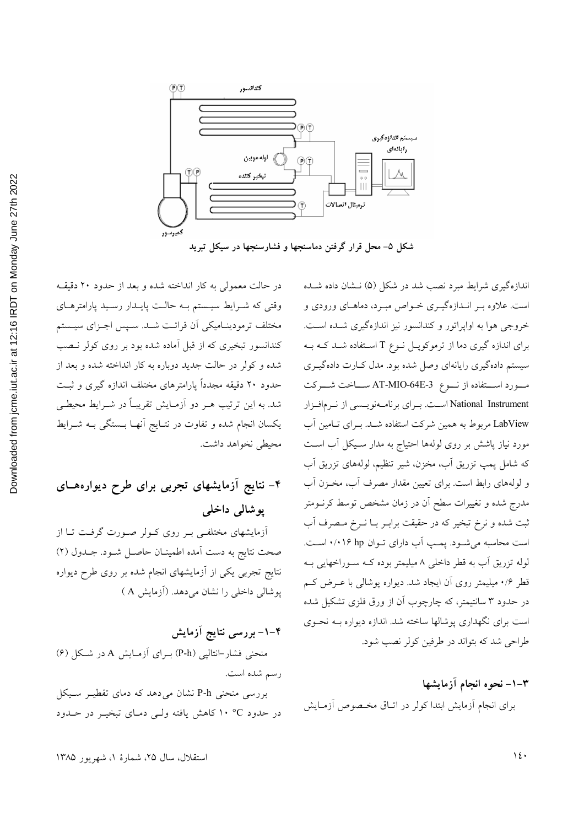

شکل ۵- محل قرار گرفتن دماسنجها و فشارسنجها در سیکل تبرید

در حالت معمولی به کار انداخته شده و بعد از حدود ۲۰ دقیقه وقتی که شـرایط سیـستم بـه حالـت پایـدار رسـید پارامترهـای مختلف ترمودينـاميكي آن قرائـت شـد. سـپس اجـزاي سيـستم کندانسور تبخیری که از قبل آماده شده بود بر روی کولر نـصب شده و کولر در حالت جدید دوباره به کار انداخته شده و بعد از حدود ۲۰ دقیقه مجدداً پارامترهای مختلف اندازه گیری و ثبت شد. به این ترتیب هــر دو اَزمـایش تقریبـاً در شــرایط محیطــی یکسان انجام شده و تفاوت در نتـایج اَنهـا بــستگی بــه شــرایط محيطى نخواهد داشت.

# ۴– نتایج آزمایشهای تجربی برای طرح دیوارههـای پوشالی داخلی

آزمایشهای مختلفی بـر روی کـولر صـورت گرفـت تـا از صحت نتايج به دست آمده اطمينـان حاصـل شـود. جـدول (٢) نتایج تجربی یکی از آزمایشهای انجام شده بر روی طرح دیواره پوشالی داخلی را نشان می دهد. (آزمایش A)

۴–۱– بررسی نتایج آزمایش منحنی فشار−انتالیی (P-h) بـرای آزمـایش A در شـکل (۶) رسم شده است. بررسی منحنی P-h نشان می دهد که دمای تقطیـر سـیکل در حدود °C ١٠ كاهش يافته ولي دماي تبخيـر در حـدود

اندازهگیری شرایط مبرد نصب شد در شکل (۵) نـشان داده شـده است. علاوه بـر انـدازهگيـري خـواص مبـرد، دماهـاي ورودي و خروجی هوا به اواپراتور و کندانسور نیز اندازهگیری شـده اسـت. برای اندازه گیری دما از ترموکوپـل نــوع T اســتفاده شــد کــه بــه سیستم دادهگیری رایانهای وصل شده بود. مدل کـارت دادهگیــری مورد استفاده از نوع AT-MIO-64E-3 ســاخت شــركت National Instrument است. برای برنامهنویسسی از نرمافزار LabView مربوط به همین شرکت استفاده شـد. بـرای تـامین آب مورد نیاز پاشش بر روی لولهها احتیاج به مدار سـیکل آب اسـت که شامل پمپ تزریق آب، مخزن، شیر تنظیم، لولههای تزریق آب و لولههای رابط است. برای تعیین مقدار مصرف أب، مخـزن أب مدرج شده و تغییرات سطح آن در زمان مشخص توسط کرنــومتر ثبت شده و نرخ تبخیر که در حقیقت برابـر بــا نــرخ مــصرف آب است محاسبه می شود. یمپ آب دارای توان ۰/۰۱۶ hp است. لوله تزریق آب به قطر داخلی ۸ میلیمتر بوده کـه سـوراخهایی بـه قطر ۰/۶ میلیمتر روی آن ایجاد شد. دیواره پوشالی با عـرض کـم در حدود ۳ سانتیمتر، که چارچوب آن از ورق فلزی تشکیل شده است برای نگهداری پوشالها ساخته شد. اندازه دیواره بـه نحـوی طراحي شد كه بتواند در طرفين كولر نصب شود.

٣–١– نحوه انجام آزمايشها برای انجام آزمایش ابتدا کولر در اتـاق مخـصوص آزمـایش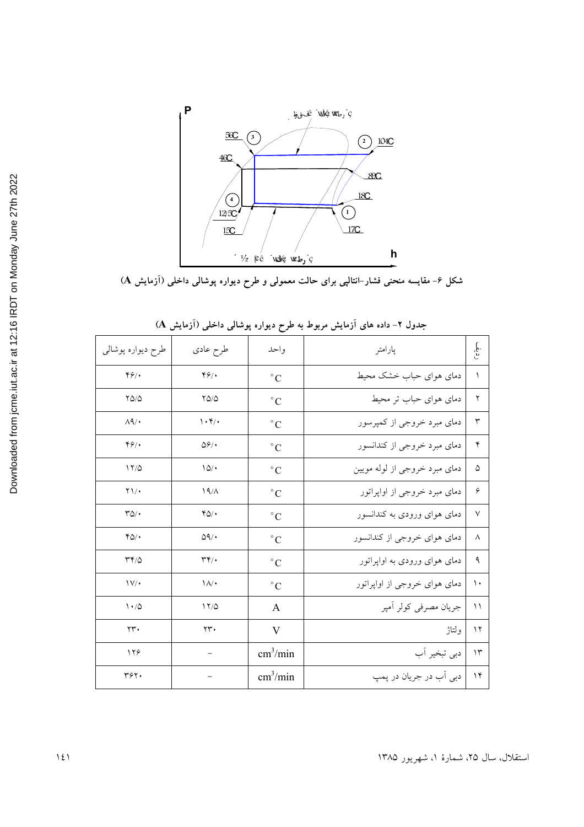

شکل ۶– مقایسه منحنی فشار–انتالپی برای حالت معمولی و طرح دیواره پوشالی داخلی (آزمایش A)

|                                            | ى <i>، د</i> . ب                            | ىي پەر بەر               |                               |             |
|--------------------------------------------|---------------------------------------------|--------------------------|-------------------------------|-------------|
| طرح دیواره پوشال <sub>ی</sub>              | طرح عادي                                    | واحد                     | پارامتر                       | ر ق.<br>م   |
| Y9                                         | 49/                                         | $\rm ^{\circ}C$          | دمای هوای حباب خشک محیط       | ١           |
| $Y\Delta/\Delta$                           | $YQ/\Delta$                                 | $^{\circ}$ C             | دمای هوای حباب تر محیط        | ٢           |
| $\Lambda$ q/ $\cdot$                       | $\mathcal{N} \cdot \mathcal{K}/\mathcal{N}$ | $\rm ^{\circ}C$          | دمای مبرد خروجی از کمپرسور    | ٣           |
| Y9                                         | $\Delta \hat{z}/\cdot$                      | $\circ$ C                | دمای مبرد خروجی از کندانسور   | ۴           |
| 17/0                                       | 10/                                         | $\circ$ C                | دمای مبرد خروجی از لوله مویین | ۵           |
| $\Upsilon \setminus \cdot$                 | 19/A                                        | $\rm ^{\circ}C$          | دمای مبرد خروجی از اواپراتور  | ۶           |
| $\mathcal{V}\Delta/\bullet$                | $YQ$ .                                      | $^{\circ}$ C             | دمای هوای ورودی به کندانسور   | $\vee$      |
| $YQ/\cdot$                                 | $\Delta$ 9/ $\cdot$                         | $\circ$ C                | دمای هوای خروجی از کندانسور   | ٨           |
| $\mathsf{r}\mathsf{r}\mathsf{r}\mathsf{d}$ | $\mathbf{r}$                                | $^{\circ}$ C             | دمای هوای ورودی به اواپراتور  | ٩           |
| $\mathsf{IV}/\bullet$                      | $\lambda/\cdot$                             | $\rm ^{\circ}C$          | دمای هوای خروجی از اواپراتور  | ۱.          |
| $\backslash \cdot/\Diamond$                | 17/0                                        | A                        | جريان مصرفى كولر أمپر         | $\setminus$ |
| $\Upsilon\Upsilon$                         | $\Upsilon\Upsilon\cdot$                     | $\mathbf V$              | ولتاژ                         | $\gamma$    |
| 128                                        |                                             | $\text{cm}^3/\text{min}$ | دبي تبخير آب                  | $\gamma$    |
| ٣۶٢.                                       |                                             | $\text{cm}^3/\text{min}$ | دبي اَب در جريان در پمپ       | $\gamma$    |

جدول ۲- داده های آزمایش مربوط به طرح دیواره یوشالی داخلی (آزمایش A)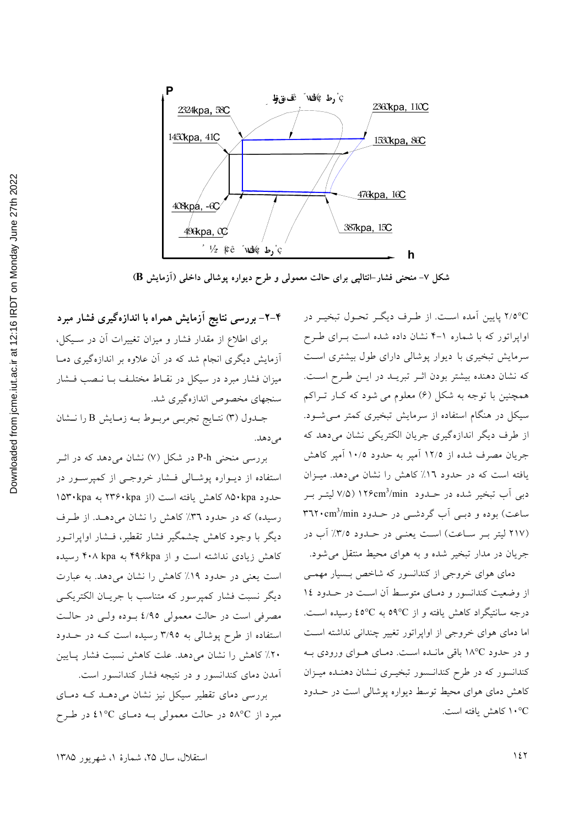

شکل ۷− منحنی فشار⊣نتالپی برای حالت معمولی و طرح دیواره پوشالی داخلی (اَزمایش B)

۲/٥°C پایین آمده است. از طرف دیگر تحـول تبخیـر در اواپراتور که با شماره ۱-۴ نشان داده شده است بـرای طـرح سرمایش تبخیری با دیوار پوشالی دارای طول بیشتری است كه نشان دهنده بيشتر بودن اثـر تبريـد در ايـن طـرح اسـت. همچنین با توجه به شکل (۶) معلوم می شود که کـار تـراکم سیکل در هنگام استفاده از سرمایش تبخیری کمتر مـیشـود. از طرف دیگر اندازهگیری جریان الکتریکی نشان میدهد که جریان مصرف شده از ۱۲/۵ آمپر به حدود ۱۰/۵ آمپر کاهش یافته است که در حدود ١٦٪ کاهش را نشان می دهد. میزان دبی آب تبخیر شده در حـدود ۱۲۶cm3/min (۷/۵ لیتـر بـر ساعت) بوده و دببی آب گردشبی در حـدود ۳٦٢٠cm<sup>3</sup>/min (۲۱۷ لیتر بـر سـاعت) اسـت یعنـی در حـدود ۳/۵٪ آب در جریان در مدار تبخیر شده و به هوای محیط منتقل می شود.

دمای هوای خروجی از کندانسور که شاخص بسیار مهمی از وضعیت کندانسور و دمـای متوسـط آن اسـت در حــدود ١٤ درجه سانتیگراد کاهش یافته و از ℃0° به ℃20 رسیده است. اما دمای هوای خروجی از اواپراتور تغییر چندانی نداشته است و در حدود ١٨°C باقی مانـده اسـت. دمـای هـوای ورودی بـه کندانسور که در طرح کندانسور تبخیـری نـشان دهنـده میـزان کاهش دمای هوای محیط توسط دیواره پوشالی است در حـدود ۰°C/ كاهش يافته است.

### ۴–۲– بررسی نتایج آزمایش همراه با اندازهگیری فشار مبرد

برای اطلاع از مقدار فشار و میزان تغییرات آن در سـیکل، آزمایش دیگری انجام شد که در آن علاوه بر اندازهگیری دمـا میزان فشار مبرد در سیکل در نقـاط مختلـف بــا نــصب فــشار سنجهاي مخصوص اندازهگيري شد.

جـدول (٣) نتـايج تجربـي مربـوط بـه زمـايش B را نـشان مى دهد.

بررسی منحنی P-h در شکل (۷) نشان می دهد که در اثـر استفاده از دیـواره پوشـالی فـشار خروجـی از کمیرسـور در حدود ۸۵۰kpa کاهش یافته است (از ۲۳۶۰kpa به ۱۵۳۰kpa رسیده) که در حدود ۳٦٪ کاهش را نشان می دهـد. از طـرف دیگر با وجود کاهش چشمگیر فشار تقطیر، فـشار اوایراتــور کاهش زیادی نداشته است و از ۴۹۶kpa به ۴۰۸ kpa رسیده است یعنی در حدود ۱۹٪ کاهش را نشان میدهد. به عبارت دیگر نسبت فشار کمپرسور که متناسب با جریـان الکتریکـی مصرفي است در حالت معمولي ٤/٩٥ بوده ولبي در حالت استفاده از طرح پوشالی به ۳/۹۵ رسیده است کـه در حـدود ٢٠٪ كاهش را نشان مى دهد. علت كاهش نسبت فشار پايين آمدن دمای کندانسور و در نتیجه فشار کندانسور است.

بررسی دمای تقطیر سیکل نیز نشان می دهـد کـه دمـای مبرد از ٥٨٥ در حالت معمولي بـه دمـاي ٤١٥C در طـرح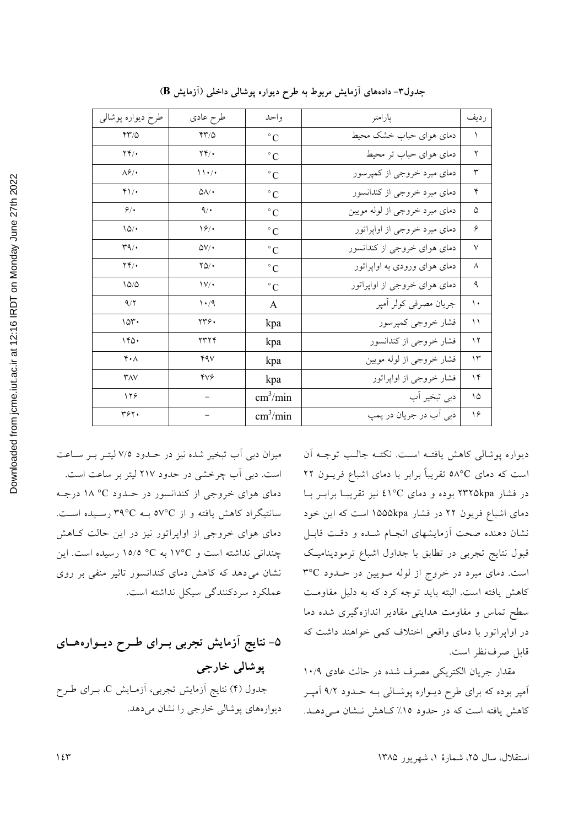| طرح ديواره پوشالي               | طرح عادي                    | واحد                     | پارامتر                       | رديف          |
|---------------------------------|-----------------------------|--------------------------|-------------------------------|---------------|
| YY/0                            | YY/0                        | $^{\circ}$ C             | دمای هوای حباب خشک محیط       | $\lambda$     |
| $\mathbf{Y} \mathbf{Y}$         | $\mathbf{Y} \mathbf{Y}$     | $^{\circ}$ C             | دمای هوای حباب تر محیط        | ٢             |
| $\Lambda$ ۶/۰                   | $\mathcal{N} \cdot / \cdot$ | $\rm ^{\circ}C$          | دمای مبرد خروجی از کمپرسور    | $\mathsf{r}$  |
| $Y\$                            | $\Delta\Lambda/\bullet$     | $^{\circ}$ C             | دمای مبرد خروجی از کندانسور   | ۴             |
| 9/                              | $\mathcal{A}/\mathcal{A}$   | $^{\circ}$ C             | دمای مبرد خروجی از لوله مویین | ۵             |
| 10/                             | 19/                         | $\rm ^{\circ}C$          | دمای مبرد خروجی از اواپراتور  | ۶             |
| $\mathcal{M}$                   | $\Delta V/\bullet$          | $^{\circ}$ C             | دمای هوای خروجی از کندانسور   | $\vee$        |
| $\mathbf{Y} \mathbf{Y} / \cdot$ | $YQ/\cdot$                  | $^{\circ}$ C             | دمای هوای ورودی به اواپراتور  | $\wedge$      |
| 10/0                            | $\mathcal{V}/\mathcal{V}$   | $^{\circ}$ C             | دمای هوای خروجی از اواپراتور  | ٩             |
| 9/7                             | $\cdot$ /9                  | A                        | جريان مصرفى كولر أمپر         | $\mathcal{L}$ |
| 10 <sup>r</sup>                 | ۲۳۶.                        | kpa                      | فشار خروجي كمپرسور            | $\setminus$   |
| 140.                            | ۲۳۲۴                        | kpa                      | فشار خروجي از كندانسور        | $\gamma$      |
| $\mathbf{Y} \cdot \mathbf{A}$   | ۴۹۷                         | kpa                      | فشار خروجي از لوله مويين      | $\gamma$      |
| YAY                             | <b>YV۶</b>                  | kpa                      | فشار خروجي از اواپراتور       | $\gamma$      |
| 179                             |                             | $\text{cm}^3/\text{min}$ | دبي تبخير اّب                 | ۱۵            |
| ٣۶٢.                            |                             | $\text{cm}^3/\text{min}$ | دبي آب در جريان در پمپ        | ۱۶            |

جدول۳- دادههای آزمایش مربوط به طرح دیواره پوشالی داخلی (آزمایش B)

ديواره پوشالي كاهش يافتـه اسـت. نكتـه جالـب توجـه آن است که دمای ٥٨°C تقریباً برابر با دمای اشباع فریــون ٢٢ در فشار ۲۳۲۵kpa بوده و دمای ٤١°C نیز تقریبـا برابـر بـا دمای اشباع فریون ۲۲ در فشار ۱۵۵۵kpa است که این خود نشان دهنده صحت أزمايشهاى انجـام شــده و دقـت قابـل قبول نتایج تجربی در تطابق با جداول اشباع ترمودینامیک است. دمای مبرد در خروج از لوله مویین در حدود ٣٥C كاهش يافته است. البته بايد توجه كرد كه به دليل مقاومت سطح تماس و مقاومت هدایتی مقادیر اندازهگیری شده دما در اواپراتور با دمای واقعی اختلاف کمی خواهند داشت که قابل صرف نظر است.

مقدار جريان الكتريكي مصرف شده در حالت عادي ١٠/٩ آمپر بوده که برای طرح دیـواره پوشـالی بـه حـدود ۹/۲ آمپـر کاهش یافته است که در حدود ١٥٪ کاهش نشان مے دهـد.

میزان دبی آب تبخیر شده نیز در حـدود ۷/۵ لیتـر بـر سـاعت است. دبی آب چرخشی در حدود ۲۱۷ لیتر بر ساعت است. دمای هوای خروجی از کندانسور در حـدود °° ۱۸ درجـه سانتیگراد کاهش یافته و از ٥٧°C بـه ٣٩°C رسـیده اسـت. دمای هوای خروجی از اواپراتور نیز در این حالت کاهش چندانی نداشته است و ١٧°C به C° ١٥/٥ رسيده است. اين نشان می دهد که کاهش دمای کندانسور تاثیر منفی بر روی عملکرد سردکنندگی سیکل نداشته است.

۵– نتایج آزمایش تجربی بــرای طــرح دیــوارههــای پوشالی خارجی جدول (۴) نتایج ازمایش تجربی، ازمـایش C، بـرای طـرح ديوارههاي يوشالي خارجي را نشان مي دهد.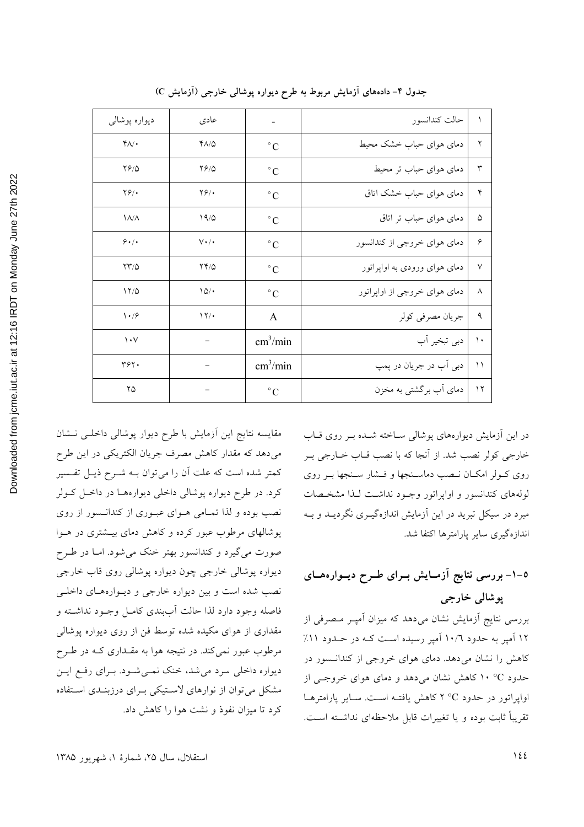| ديواره پوشالي     | عادى               |                          | حالت كندانسور                | $\setminus$   |
|-------------------|--------------------|--------------------------|------------------------------|---------------|
| $Y/\cdot$         | $Y\Lambda/\Delta$  | $^{\circ}C$              | دمای هوای حباب خشک محیط      | $\mathsf{r}$  |
| 7910              | 7910               | $^{\circ}C$              | دمای هوای حباب تر محیط       | $\mathsf{r}$  |
| $Y$ ۶/۰           | $\mathbf{Y}$ .     | $^{\circ}$ C             | دمای هوای حباب خشک اتاق      | ۴             |
| $\lambda/\lambda$ | 19/0               | $^{\circ}C$              | دمای هوای حباب تر اتاق       | ۵             |
| 9.1.              | $V\cdot$ / $\cdot$ | $^{\circ}$ C             | دمای هوای خروجی از کندانسور  | ۶             |
| $\frac{1}{2}$     | $YY/\Delta$        | $^{\circ}C$              | دمای هوای ورودی به اواپراتور | $\vee$        |
| 17/0              | 10/                | $^{\circ}C$              | دمای هوای خروجی از اواپراتور | $\wedge$      |
| $\frac{1}{2}$     | $\frac{17}{4}$     | A                        | جريان مصرفي كولر             | ٩             |
| $\mathcal{N}$     |                    | $\text{cm}^3/\text{min}$ | دبي تبخير آب                 | $\mathcal{L}$ |
| ۳۶۲.              |                    | $\text{cm}^3/\text{min}$ | دبي اَب در جريان در پمپ      | $\setminus$   |
| ۲۵                |                    | $\circ$ C                | دمای آب برگشتی به مخزن       | $\gamma$      |

جدول ۴- دادههای آزمایش مربوط به طرح دیواره پوشالی خارجی (آزمایش C)

در این آزمایش دیوارههای پوشالی ساخته شده بـر روی قـاب خارجي كولر نصب شد. از أنجا كه با نصب قـاب خـارجي بـر روی کـولر امکـان نـصب دماسـنجها و فــشار سـنجها بــر روی لولههای کندانسور و اواپراتور وجـود نداشـت لـذا مشخـصات مبرد در سیکل تبرید در این آزمایش اندازهگیـری نگردیــد و بــه اندازهگیری سایر پارامترها اکتفا شد.

# 0–۱– بررسی نتایج آزمـایش بــرای طــرح دیــوارههــای يوشالي خارجي

بررسی نتایج آزمایش نشان میدهد که میزان آمپـر مـصرفی از ۱۲ آمیر به حدود ۱۰/۲ آمیر رسیده است کـه در حــدود ۱۱٪ کاهش را نشان می دهد. دمای هوای خروجی از کندانسور در حدود C° ۱۰ کاهش نشان می دهد و دمای هوای خروجهی از اوایراتور در حدود °C ۲°C کاهش یافتـه اسـت. سـایر پارامترهـا تقریباً ثابت بوده و یا تغییرات قابل ملاحظهای نداشته است.

مقايسه نتايج اين أزمايش با طرح ديوار پوشالي داخلـي نـشان میدهد که مقدار کاهش مصرف جریان الکتریکی در این طرح کمتر شده است که علت آن را می توان بـه شــرح ذیــل تفــسیر کرد. در طرح دیواره پوشالی داخلی دیوارههـا در داخـل کـولر نصب بوده و لذا تمـامی هـوای عبـوری از کندانـسور از روی پوشالهای مرطوب عبور کرده و کاهش دمای بیــشتری در هــوا صورت میگیرد و کندانسور بهتر خنک میشود. امـا در طــرح دیواره پوشالي خارجي چون ديواره پوشالي روي قاب خارجي نصب شده است وبین دیواره خارجی و دیوارههای داخلی فاصله وجود دارد لذا حالت أببندي كامـل وجـود نداشـته و مقداری از هوای مکیده شده توسط فن از روی دیواره پوشالی مرطوب عبور نمي کند. در نتيجه هوا به مقــداري کــه در طــرح دیواره داخلی سرد می شد، خنک نمـی شـود. بـرای رفـع ایـن مشکل میتوان از نوارهای لاستیکی برای درزبنـدی استفاده كرد تا ميزان نفوذ و نشت هوا را كاهش داد.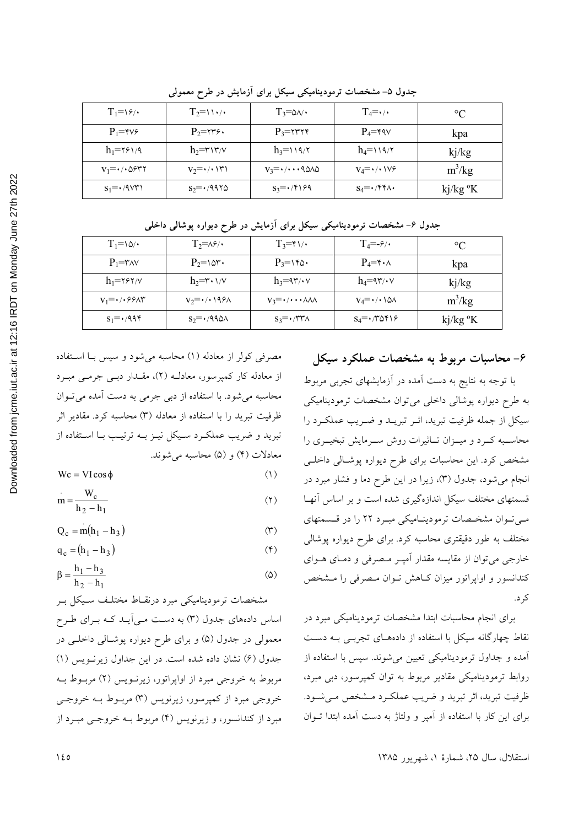| $T_1 = \frac{9}{4}$                | $T_2=11.7$                        | $T_3 = \circ \wedge \wedge$         | $T_4 = \cdot$ / $\cdot$                          | $\rm ^{\circ}C$      |
|------------------------------------|-----------------------------------|-------------------------------------|--------------------------------------------------|----------------------|
| $P_1 = \gamma \gamma \epsilon$     | $P_2 = \gamma \gamma \gamma$ .    | $P_3 = \gamma \gamma \gamma \gamma$ | $P_4 = \gamma \gamma$                            | kpa                  |
| $h_1 = \gamma \epsilon \gamma / 9$ | $h_2 = r \gamma v/v$              | $h_3 = 119/7$                       | $h_4 = \sqrt{9/\tau}$                            | kj/kg                |
| $v_1 = \cdot \wedge \omega$ ۶۳۲    | $V_2 = \cdot / \cdot \cdot \cdot$ | $V_3 = \cdot / \cdot \cdot 9000$    | $V_4 = \cdot / \cdot \cdot \vee \circ$           | $m^3/kg$             |
| $S_1 = \cdot$ /9/3                 | $S_2 = \cdot 4970$                | $S_3 = \cdot$ /۴۱۶۹                 | $S_4 = \cdot$ / $\uparrow \uparrow \wedge \cdot$ | kj/kg <sup>o</sup> K |

جدول ۵- مشخصات ترمودینامیکی سیکل برای آزمایش در طرح معمولی

| جدول ۶– مشخصات ترمودینامیکی سیکل برای ازمایش در طرح دیواره پوشالی داخلی |  |  |  |
|-------------------------------------------------------------------------|--|--|--|
|-------------------------------------------------------------------------|--|--|--|

| $T_1 = \delta$                      | $T_2 = \lambda \hat{z}/\cdot$                   | $T_3 = \gamma \sqrt{1 + \gamma^2}$                     | $T_4 = -\frac{\epsilon}{4}$                             | $^{\circ}C$          |
|-------------------------------------|-------------------------------------------------|--------------------------------------------------------|---------------------------------------------------------|----------------------|
| $P_1 = r_A v$                       | $P_2 = \text{Var}$ .                            | $P_3 = \gamma \gamma \delta$                           | $P_4 = \gamma \cdot \Lambda$                            | kpa                  |
| $h_1 = \gamma \gamma \gamma/\gamma$ | $h_2 = r \cdot 1/v$                             | $h_3 = \frac{4\pi}{3} \cdot \sqrt{2\pi}$               | $h_4 = \frac{4\pi}{3} \cdot \sqrt{2\pi}$                | kj/kg                |
| $V_1 = \cdot / \cdot 55$            | $V_2 = \cdot / \cdot \cdot \cdot \times \wedge$ | $V_3 = \cdot / \cdot \cdot \cdot \wedge \wedge \wedge$ | $V_4 = \cdot / \cdot \cdot \wedge \wedge$               | $m^3/kg$             |
| $S_1 = \cdot$ /994                  | $S_2 = \cdot 490A$                              | $S_3 = \cdot$ /۳۳ $\wedge$                             | $S_4 = \cdot \wedge \wedge \wedge \wedge \wedge \wedge$ | kj/kg <sup>o</sup> K |

#### ۶- محاسبات مربوط به مشخصات عملکرد سیکل

با توجه به نتایج به دست آمده در آزمایشهای تجربی مربوط به طرح دیواره پوشالی داخلی می توان مشخصات ترمودینامیکی سیکل از جمله ظرفیت تبرید، اثـر تبریــد و ضـریب عملکـرد را محاســبه كــرد و ميــزان تــاثيرات روش ســرمايش تبخيــرى را مشخص کرد. این محاسبات برای طرح دیواره پوشـالی داخلـی انجام می شود، جدول (۳)، زیرا در این طرح دما و فشار مبرد در قسمتهای مختلف سیکل اندازهگیری شده است و بر اساس آنها میتوان مشخصات ترمودینامیکی مبرد ۲۲ را در قسمتهای مختلف به طور دقیقتری محاسبه کرد. برای طرح دیواره پوشالی خارجي مي توان از مقايسه مقدار آميـر مـصرفي و دمـاي هــواي کندانسور و اواپراتور میزان کـاهش تـوان مـصرفی را مـشخص کر د.

برای انجام محاسبات ابتدا مشخصات ترمودینامیکی مبرد در نقاط چهارگانه سیکل با استفاده از دادههـای تجربـی بـه دسـت آمده و جداول ترمودینامیکی تعیین میشوند. سپس با استفاده از روابط ترمودینامیکی مقادیر مربوط به توان کمپرسور، دبی مبرد، ظرفیت تبرید، اثر تبرید و ضریب عملکـرد مـشخص مـیشـود. برای این کار با استفاده از آمپر و ولتاژ به دست آمده ابتدا تــوان

استقلال، سال ۲۵، شمارهٔ ۱، شهریور ۱۳۸۵

مصرفی کولر از معادله (۱) محاسبه می شود و سپس با استفاده از معادله کار کمپرسور، معادلـه (٢)، مقـدار دبـي جرمـي مبـرد محاسبه می شود. با استفاده از دبی جرمی به دست آمده می توان ظرفیت تبرید را با استفاده از معادله (۳) محاسبه کرد. مقادیر اثر تبرید و ضریب عملکرد سیکل نیـز بـه ترتیـب بـا اسـتفاده از معادلات (۴) و (۵) محاسبه می شوند.

$$
Wc = VI\cos\phi\tag{1}
$$

$$
m = \frac{W_c}{h_2 - h_1}
$$
 (7)

$$
Q_c = m(h_1 - h_3) \tag{(*)}
$$

$$
q_c = (h_1 - h_3) \tag{(*)}
$$

$$
\beta = \frac{h_1 - h_3}{h_2 - h_1} \tag{2}
$$

مشخصات ترمودینامیکی مبرد درنقـاط مختلـف سـیکل بـر اساس دادههای جدول (۳) به دست می آیـد کـه بـرای طـرح معمولي در جدول (۵) و براي طرح ديواره پوشـالي داخلـي در جدول (۶) نشان داده شده است. در این جداول زیرنویس (۱) مربوط به خروجی مبرد از اواپراتور، زیرنـویس (۲) مربـوط بـه خروجي مبرد از کميرسور، زيرنويس (٣) مربـوط بــه خروجــي مبرد از کندانسور، و زیرنویس (۴) مربوط بــه خروجــی مبــرد از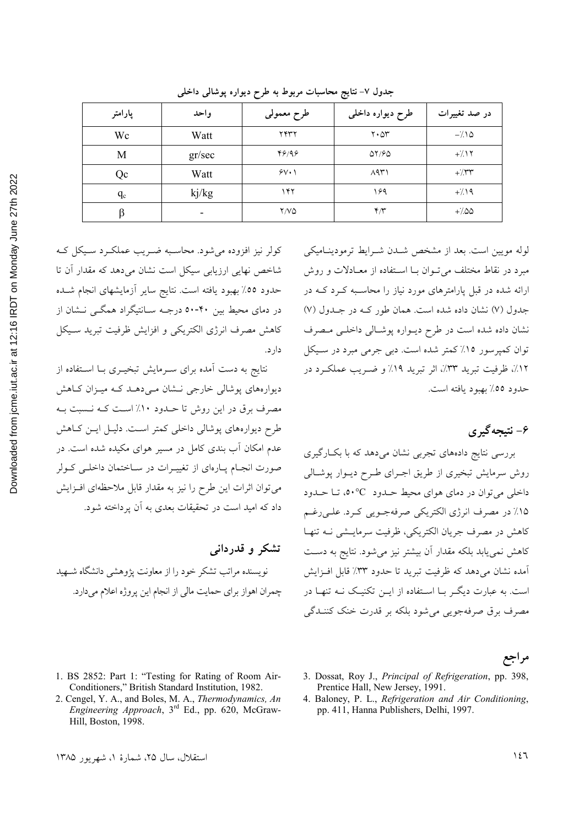| ؛                                               |  |
|-------------------------------------------------|--|
| ;<br>;<br>;                                     |  |
|                                                 |  |
|                                                 |  |
|                                                 |  |
| i Dunday Normani                                |  |
|                                                 |  |
|                                                 |  |
|                                                 |  |
|                                                 |  |
|                                                 |  |
|                                                 |  |
|                                                 |  |
|                                                 |  |
|                                                 |  |
|                                                 |  |
|                                                 |  |
|                                                 |  |
|                                                 |  |
|                                                 |  |
|                                                 |  |
|                                                 |  |
|                                                 |  |
|                                                 |  |
|                                                 |  |
|                                                 |  |
| wnloaded from jcme.jut.ac.ir at 12:16 IRDT on I |  |
|                                                 |  |
|                                                 |  |
|                                                 |  |
| į                                               |  |

2022

| پارامتر | واحد                     | طرح معمولي   | طرح دیواره داخلی                     | در صد تغییرات |
|---------|--------------------------|--------------|--------------------------------------|---------------|
| Wc      | Watt                     | ۲۴۳۲         | $\mathbf{Y} \cdot \Delta \mathbf{Y}$ | $-\lambda$    |
| M       | gr/sec                   | 49/99        | $\Delta 7/80$                        | $+/\sqrt{7}$  |
| Qc      | Watt                     | $5V \cdot 1$ | $\Lambda$ 9٣١                        | $+/\tau$      |
| $q_c$   | kj/kg                    | ۱۴۲          | ۱۶۹                                  | $+/\Delta$    |
| ß       | $\overline{\phantom{0}}$ | Y/VQ         | $\mathfrak{r}/\mathfrak{r}$          | $+/-00$       |

جدول ۷– نتایج محاسبات مربوط به طرح دیواره پوشالی داخلی

کولر نیز افزوده می شود. محاسبه ضبریب عملک د سبیکل ک شاخص نهایی ارزیابی سیکل است نشان می دهد که مقدار آن تا حدود ٥٥٪ بهبود يافته است. نتايج ساير أزمايشهاى انجام شــده در دمای محیط بین ۴۰-۵۰ درجـه سـانتیگراد همگــی نــشان از كاهش مصرف انرژى الكتريكي و افزايش ظرفيت تبريد سـيكل دار د.

نتایج به دست آمده برای سـرمایش تبخیـری بـا اسـتفاده از دیوارہهای پوشالی خارجی نـشان مـی دهـد کـه میـزان کـاهش مصرف برق در این روش تا حـدود ۱۰٪ اسـت کـه نـسبت بـه طرح دیوارههای پوشالی داخلی کمتر است. دلیـل ایـن کـاهش عدم امکان آب بندی کامل در مسیر هوای مکیده شده است. در صورت انجمام پیارهای از تغییـرات در سـاختمان داخلـی کـولر می توان اثرات این طرح را نیز به مقدار قابل ملاحظهای افـزایش داد که امید است در تحقیقات بعدی به آن پرداخته شود.

تشکر و قدردانی نویسنده مراتب تشکر خود را از معاونت پژوهشی دانشگاه شــهید چمران اهواز برای حمایت مالی از انجام این پروژه اعلام می دارد.

لوله مویین است. بعد از مشخص شـدن شـرایط ترمودینـامیکی مبرد در نقاط مختلف می توان بـا اسـتفاده از معـادلات و روش ارائه شده در قبل پارامترهای مورد نیاز را محاسـبه کـرد کـه در جدول (۷) نشان داده شده است. همان طور کـه در جـدول (۷) نشان داده شده است در طرح ديواره پوشالي داخلي مصرف توان کمیرسور ۱۵٪ کمتر شده است. دبی جرمی میرد در سبیکل ١٢٪، ظرفيت تبريد ٣٣٪، اثر تبريد ١٩٪ و ضـريب عملكـرد در حدود ٥٥٪ بهبود يافته است.

### ۶- نتیجه گیری

بررسی نتایج دادههای تجربی نشان میدهد که با بکارگیری روش سرمایش تبخیری از طریق اجـرای طـرح دیـوار پوشـالی داخلي مي توان در دماي هواي محيط حـدود -0° م، تــا حـدود ۱۵٪ در مصرف انرژی الکتریکی صرفهجـویی کـرد. علـی رغـم كاهش در مصرف جريان الكتريكي، ظرفيت سرمايــشي نــه تنهــا کاهش نمی یابد بلکه مقدار آن بیشتر نیز میشود. نتایج به دست آمده نشان می دهد که ظرفیت تبرید تا حدود ٣٣٪ قابل افـزایش است. به عبارت دیگـر بــا اســتفاده از ایــن تکنیــک نــه تنهــا در مصرف برق صرفهجويي مي شود بلكه بر قدرت خنك كننــدگي

مراجع

- 1. BS 2852: Part 1: "Testing for Rating of Room Air-Conditioners," British Standard Institution, 1982.
- 2. Cengel, Y. A., and Boles, M. A., Thermodynamics, An Engineering Approach, 3<sup>rd</sup> Ed., pp. 620, McGraw-Hill, Boston, 1998.
- 3. Dossat, Roy J., Principal of Refrigeration, pp. 398, Prentice Hall, New Jersey, 1991.
- 4. Baloney, P. L., Refrigeration and Air Conditioning, pp. 411, Hanna Publishers, Delhi, 1997.